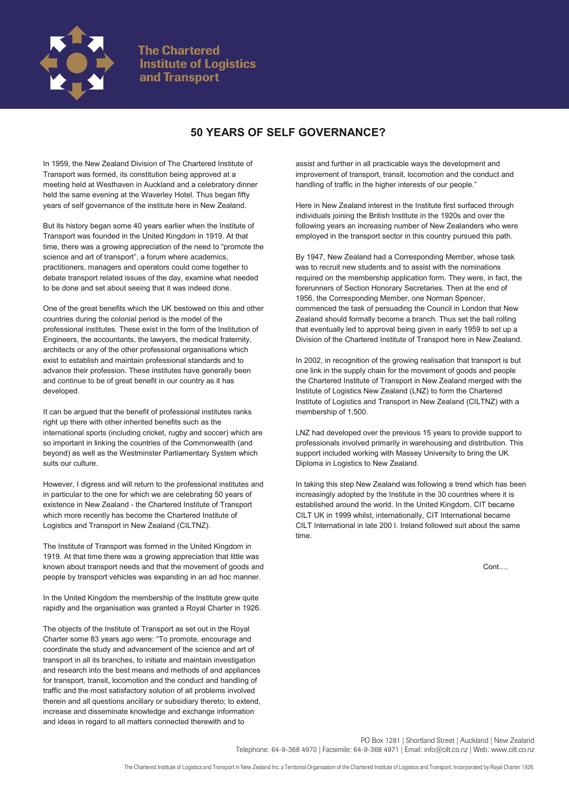

## **50 YEARS OF SELF GOVERNANCE?**

In 1959, the New Zealand Division of The Chartered Institute of Transport was formed, its constitution being approved at a meeting held at Westhaven in Auckland and a celebratory dinner held the same evening at the Waverley Hotel. Thus began fifty years of self governance of the institute here in New Zealand.

But its history began some 40 years earlier when the Institute of Transport was founded in the United Kingdom in 1919. At that time, there was a growing appreciation of the need to "promote the science and art of transport", a forum where academics, practitioners, managers and operators could come together to debate transport related issues of the day, examine what needed to be done and set about seeing that it was indeed done.

One of the great benefits which the UK bestowed on this and other countries during the colonial period is the model of the professional institutes. These exist in the form of the Institution of Engineers, the accountants, the lawyers, the medical fraternity, architects or any of the other professional organisations which exist to establish and maintain professional standards and to advance their profession. These institutes have generally been and continue to be of great benefit in our country as it has developed.

It can be argued that the benefit of professional institutes ranks right up there with other inherited benefits such as the international sports (including cricket, rugby and soccer) which are so important in linking the countries of the Commonwealth (and beyond) as well as the Westminster Parliamentary System which suits our culture.

However, I digress and will return to the professional institutes and in particular to the one for which we are celebrating 50 years of existence in New Zealand - the Chartered Institute of Transport which more recently has become the Chartered Institute of Logistics and Transport in New Zealand (CILTNZ).

The Institute of Transport was formed in the United Kingdom in 1919. At that time there was a growing appreciation that little was known about transport needs and that the movement of goods and people by transport vehicles was expanding in an ad hoc manner.

In the United Kingdom the membership of the Institute grew quite rapidly and the organisation was granted a Royal Charter in 1926.

The objects of the Institute of Transport as set out in the Royal Charter some 83 years ago were: "To promote, encourage and coordinate the study and advancement of the science and art of transport in all its branches, to initiate and maintain investigation and research into the best means and methods of and appliances for transport, transit, locomotion and the conduct and handling of traffic and the most satisfactory solution of all problems involved therein and all questions ancillary or subsidiary thereto; to extend, increase and disseminate knowledge and exchange information and ideas in regard to all matters connected therewith and to

assist and further in all practicable ways the development and improvement of transport, transit, locomotion and the conduct and handling of traffic in the higher interests of our people."

Here in New Zealand interest in the Institute first surfaced through individuals joining the British Institute in the 1920s and over the following years an increasing number of New Zealanders who were employed in the transport sector in this country pursued this path.

By 1947, New Zealand had a Corresponding Member, whose task was to recruit new students and to assist with the nominations required on the membership application form. They were, in fact, the forerunners of Section Honorary Secretaries. Then at the end of 1956, the Corresponding Member, one Norman Spencer, commenced the task of persuading the Council in London that New Zealand should formally become a branch. Thus set the ball rolling that eventually led to approval being given in early 1959 to set up a Division of the Chartered Institute of Transport here in New Zealand.

In 2002, in recognition of the growing realisation that transport is but one link in the supply chain for the movement of goods and people the Chartered Institute of Transport in New Zealand merged with the Institute of Logistics New Zealand (LNZ) to form the Chartered Institute of Logistics and Transport in New Zealand (CILTNZ) with a membership of 1,500.

LNZ had developed over the previous 15 years to provide support to professionals involved primarily in warehousing and distribution. This support included working with Massey University to bring the UK Diploma in Logistics to New Zealand.

In taking this step New Zealand was following a trend which has been increasingly adopted by the Institute in the 30 countries where it is established around the world. In the United Kingdom, CIT became CILT UK in 1999 whilst, internationally, CIT International became CILT International in late 200 I. Ireland followed suit about the same time.

Cont….